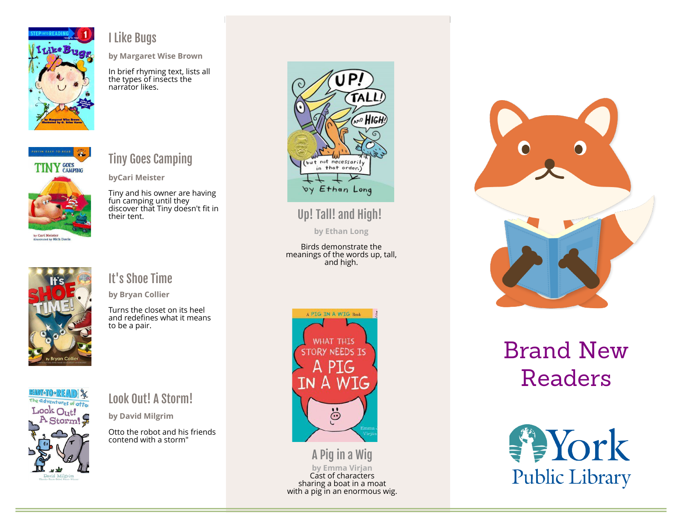

#### I Like Bugs

by Margaret Wise Brown

In brief rhyming text, lists all the types of insects the narrator likes.



#### Tiny Goes Camping

byCari Meister

Tiny and his owner are having fun camping until they discover that Tiny doesn't fit in their tent.



#### It's Shoe Time

by Bryan Collier

Turns the closet on its heel and redefines what it means to be a pair.



#### Look Out! A Storm!

by David Milgrim

Otto the robot and his friends contend with a storm"



Up! Tall! and High!

by Ethan Long

Birds demonstrate the meanings of the words up, tall, and high.



A Pig in a Wig by Emma Virjan Cast of characters sharing a boat in a moat with a pig in an enormous wig.



## Brand New Readers